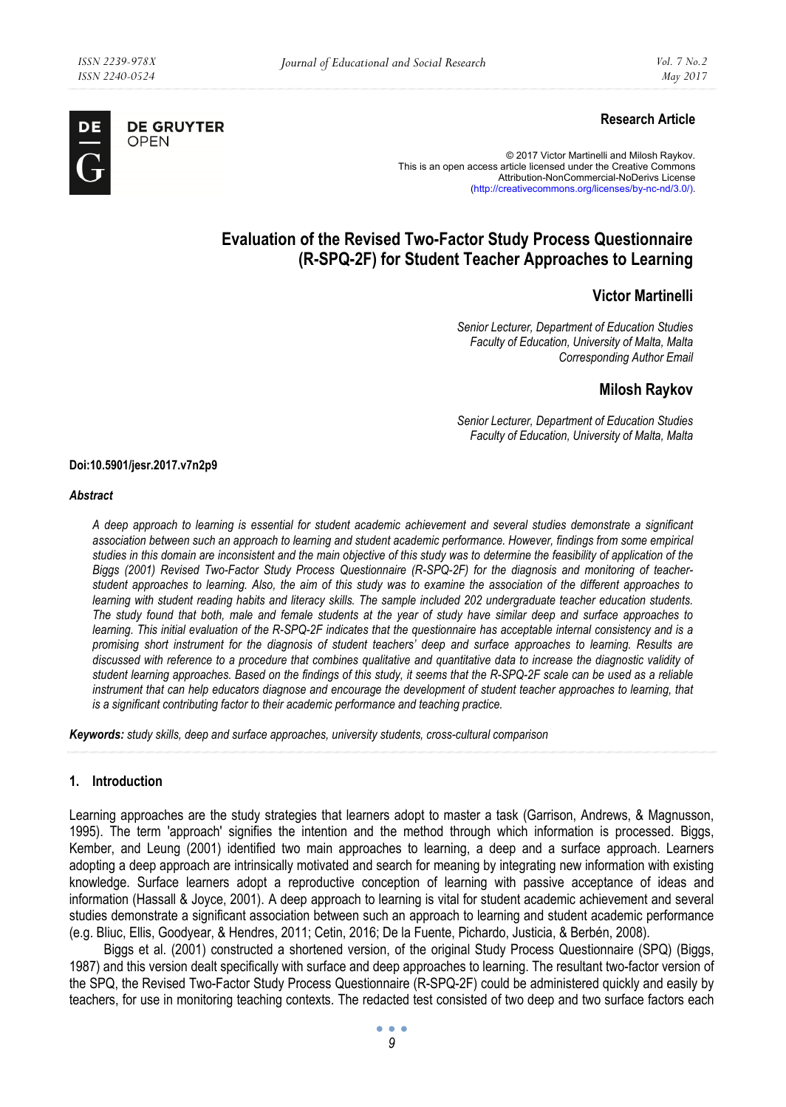

# **Research Article**

© 2017 Victor Martinelli and Milosh Raykov. This is an open access article licensed under the Creative Commons Attribution-NonCommercial-NoDerivs License (http://creativecommons.org/licenses/by-nc-nd/3.0/).

# **Evaluation of the Revised Two-Factor Study Process Questionnaire (R-SPQ-2F) for Student Teacher Approaches to Learning**

# **Victor Martinelli**

*Senior Lecturer, Department of Education Studies Faculty of Education, University of Malta, Malta Corresponding Author Email* 

#### **Milosh Raykov**

*Senior Lecturer, Department of Education Studies Faculty of Education, University of Malta, Malta* 

#### **Doi:10.5901/jesr.2017.v7n2p9**

#### *Abstract*

*A deep approach to learning is essential for student academic achievement and several studies demonstrate a significant association between such an approach to learning and student academic performance. However, findings from some empirical studies in this domain are inconsistent and the main objective of this study was to determine the feasibility of application of the Biggs (2001) Revised Two-Factor Study Process Questionnaire (R-SPQ-2F) for the diagnosis and monitoring of teacherstudent approaches to learning. Also, the aim of this study was to examine the association of the different approaches to learning with student reading habits and literacy skills. The sample included 202 undergraduate teacher education students. The study found that both, male and female students at the year of study have similar deep and surface approaches to learning. This initial evaluation of the R-SPQ-2F indicates that the questionnaire has acceptable internal consistency and is a promising short instrument for the diagnosis of student teachers' deep and surface approaches to learning. Results are discussed with reference to a procedure that combines qualitative and quantitative data to increase the diagnostic validity of student learning approaches. Based on the findings of this study, it seems that the R-SPQ-2F scale can be used as a reliable instrument that can help educators diagnose and encourage the development of student teacher approaches to learning, that is a significant contributing factor to their academic performance and teaching practice.* 

*Keywords: study skills, deep and surface approaches, university students, cross-cultural comparison* 

#### **1. Introduction**

Learning approaches are the study strategies that learners adopt to master a task (Garrison, Andrews, & Magnusson, 1995). The term 'approach' signifies the intention and the method through which information is processed. Biggs, Kember, and Leung (2001) identified two main approaches to learning, a deep and a surface approach. Learners adopting a deep approach are intrinsically motivated and search for meaning by integrating new information with existing knowledge. Surface learners adopt a reproductive conception of learning with passive acceptance of ideas and information (Hassall & Joyce, 2001). A deep approach to learning is vital for student academic achievement and several studies demonstrate a significant association between such an approach to learning and student academic performance (e.g. Bliuc, Ellis, Goodyear, & Hendres, 2011; Cetin, 2016; De la Fuente, Pichardo, Justicia, & Berbén, 2008).

Biggs et al. (2001) constructed a shortened version, of the original Study Process Questionnaire (SPQ) (Biggs, 1987) and this version dealt specifically with surface and deep approaches to learning. The resultant two-factor version of the SPQ, the Revised Two-Factor Study Process Questionnaire (R-SPQ-2F) could be administered quickly and easily by teachers, for use in monitoring teaching contexts. The redacted test consisted of two deep and two surface factors each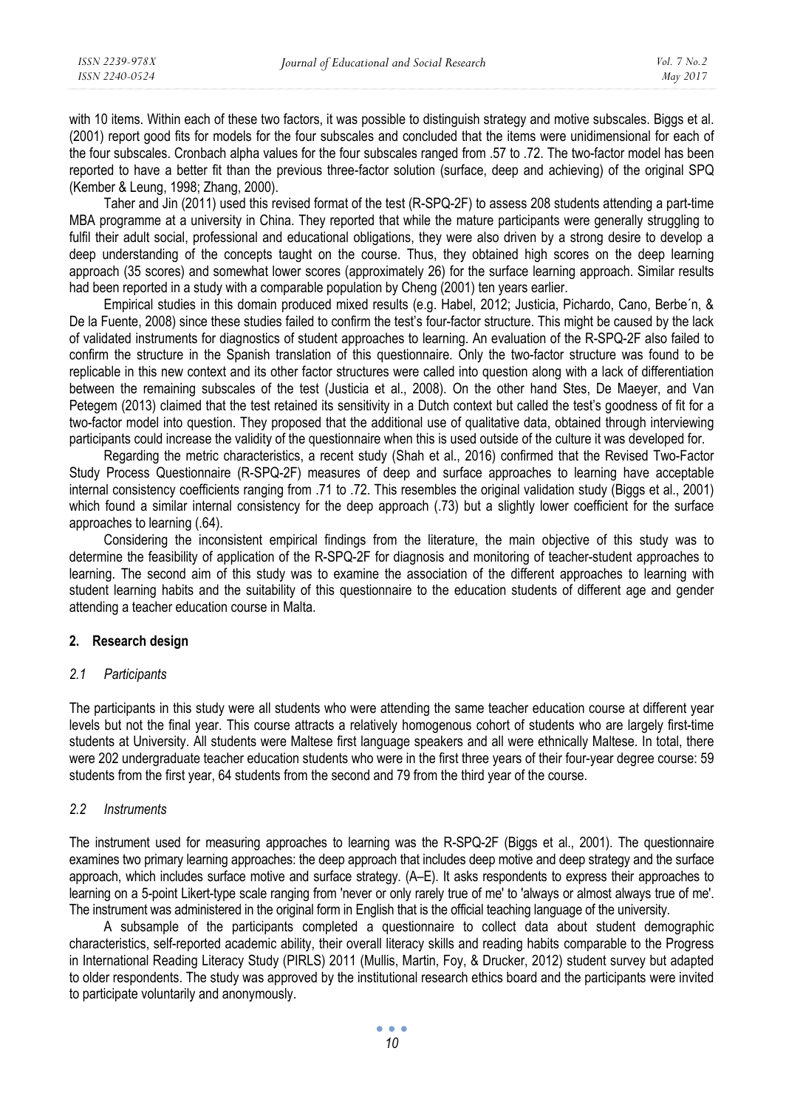with 10 items. Within each of these two factors, it was possible to distinguish strategy and motive subscales. Biggs et al. (2001) report good fits for models for the four subscales and concluded that the items were unidimensional for each of the four subscales. Cronbach alpha values for the four subscales ranged from .57 to .72. The two-factor model has been reported to have a better fit than the previous three-factor solution (surface, deep and achieving) of the original SPQ (Kember & Leung, 1998; Zhang, 2000).

Taher and Jin (2011) used this revised format of the test (R-SPQ-2F) to assess 208 students attending a part-time MBA programme at a university in China. They reported that while the mature participants were generally struggling to fulfil their adult social, professional and educational obligations, they were also driven by a strong desire to develop a deep understanding of the concepts taught on the course. Thus, they obtained high scores on the deep learning approach (35 scores) and somewhat lower scores (approximately 26) for the surface learning approach. Similar results had been reported in a study with a comparable population by Cheng (2001) ten years earlier.

Empirical studies in this domain produced mixed results (e.g. Habel, 2012; Justicia, Pichardo, Cano, Berbe´n, & De la Fuente, 2008) since these studies failed to confirm the test's four-factor structure. This might be caused by the lack of validated instruments for diagnostics of student approaches to learning. An evaluation of the R-SPQ-2F also failed to confirm the structure in the Spanish translation of this questionnaire. Only the two-factor structure was found to be replicable in this new context and its other factor structures were called into question along with a lack of differentiation between the remaining subscales of the test (Justicia et al., 2008). On the other hand Stes, De Maeyer, and Van Petegem (2013) claimed that the test retained its sensitivity in a Dutch context but called the test's goodness of fit for a two-factor model into question. They proposed that the additional use of qualitative data, obtained through interviewing participants could increase the validity of the questionnaire when this is used outside of the culture it was developed for.

Regarding the metric characteristics, a recent study (Shah et al., 2016) confirmed that the Revised Two-Factor Study Process Questionnaire (R-SPQ-2F) measures of deep and surface approaches to learning have acceptable internal consistency coefficients ranging from .71 to .72. This resembles the original validation study (Biggs et al., 2001) which found a similar internal consistency for the deep approach (.73) but a slightly lower coefficient for the surface approaches to learning (.64).

Considering the inconsistent empirical findings from the literature, the main objective of this study was to determine the feasibility of application of the R-SPQ-2F for diagnosis and monitoring of teacher-student approaches to learning. The second aim of this study was to examine the association of the different approaches to learning with student learning habits and the suitability of this questionnaire to the education students of different age and gender attending a teacher education course in Malta.

#### **2. Research design**

#### *2.1 Participants*

The participants in this study were all students who were attending the same teacher education course at different year levels but not the final year. This course attracts a relatively homogenous cohort of students who are largely first-time students at University. All students were Maltese first language speakers and all were ethnically Maltese. In total, there were 202 undergraduate teacher education students who were in the first three years of their four-year degree course: 59 students from the first year, 64 students from the second and 79 from the third year of the course.

## *2.2 Instruments*

The instrument used for measuring approaches to learning was the R-SPQ-2F (Biggs et al., 2001). The questionnaire examines two primary learning approaches: the deep approach that includes deep motive and deep strategy and the surface approach, which includes surface motive and surface strategy. (A–E). It asks respondents to express their approaches to learning on a 5-point Likert-type scale ranging from 'never or only rarely true of me' to 'always or almost always true of me'. The instrument was administered in the original form in English that is the official teaching language of the university.

A subsample of the participants completed a questionnaire to collect data about student demographic characteristics, self-reported academic ability, their overall literacy skills and reading habits comparable to the Progress in International Reading Literacy Study (PIRLS) 2011 (Mullis, Martin, Foy, & Drucker, 2012) student survey but adapted to older respondents. The study was approved by the institutional research ethics board and the participants were invited to participate voluntarily and anonymously.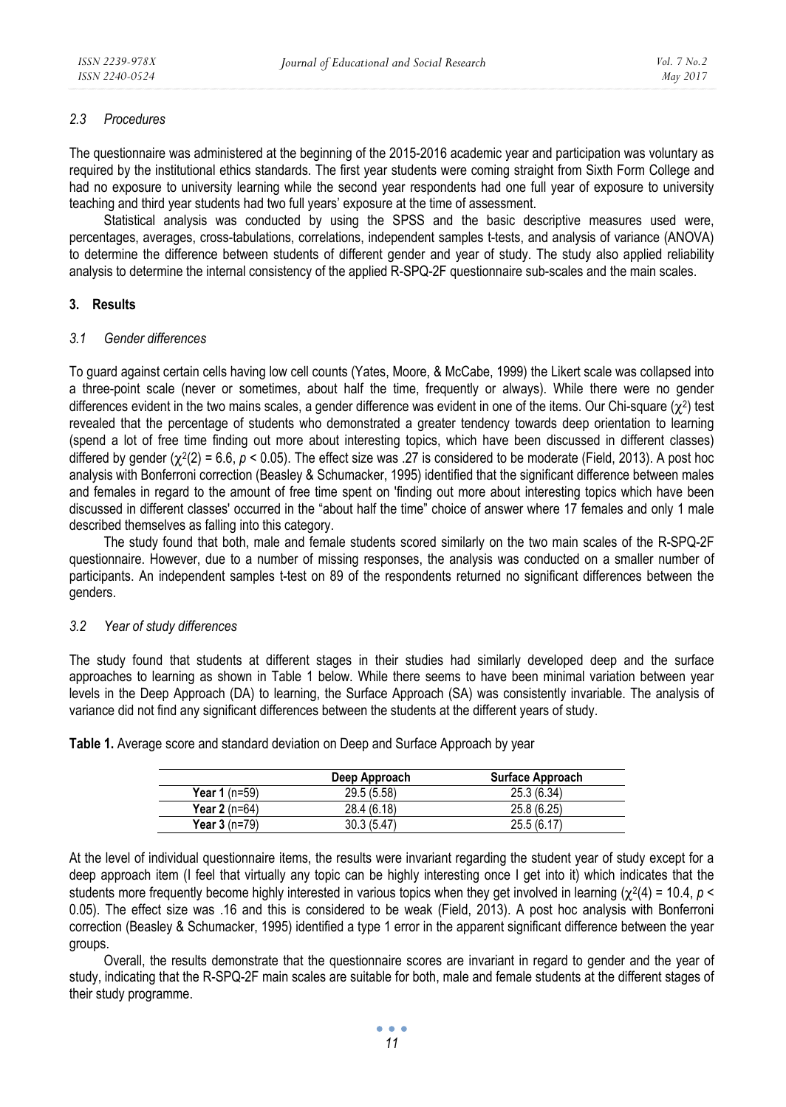# *2.3 Procedures*

The questionnaire was administered at the beginning of the 2015-2016 academic year and participation was voluntary as required by the institutional ethics standards. The first year students were coming straight from Sixth Form College and had no exposure to university learning while the second year respondents had one full year of exposure to university teaching and third year students had two full years' exposure at the time of assessment.

Statistical analysis was conducted by using the SPSS and the basic descriptive measures used were, percentages, averages, cross-tabulations, correlations, independent samples t-tests, and analysis of variance (ANOVA) to determine the difference between students of different gender and year of study. The study also applied reliability analysis to determine the internal consistency of the applied R-SPQ-2F questionnaire sub-scales and the main scales.

## **3. Results**

#### *3.1 Gender differences*

To guard against certain cells having low cell counts (Yates, Moore, & McCabe, 1999) the Likert scale was collapsed into a three-point scale (never or sometimes, about half the time, frequently or always). While there were no gender differences evident in the two mains scales, a gender difference was evident in one of the items. Our Chi-square ( $\chi^2$ ) test revealed that the percentage of students who demonstrated a greater tendency towards deep orientation to learning (spend a lot of free time finding out more about interesting topics, which have been discussed in different classes) differed by gender (χ2(2) = 6.6, *p* < 0.05). The effect size was .27 is considered to be moderate (Field, 2013). A post hoc analysis with Bonferroni correction (Beasley & Schumacker, 1995) identified that the significant difference between males and females in regard to the amount of free time spent on 'finding out more about interesting topics which have been discussed in different classes' occurred in the "about half the time" choice of answer where 17 females and only 1 male described themselves as falling into this category.

The study found that both, male and female students scored similarly on the two main scales of the R-SPQ-2F questionnaire. However, due to a number of missing responses, the analysis was conducted on a smaller number of participants. An independent samples t-test on 89 of the respondents returned no significant differences between the genders.

# *3.2 Year of study differences*

The study found that students at different stages in their studies had similarly developed deep and the surface approaches to learning as shown in Table 1 below. While there seems to have been minimal variation between year levels in the Deep Approach (DA) to learning, the Surface Approach (SA) was consistently invariable. The analysis of variance did not find any significant differences between the students at the different years of study.

|                | Deep Approach | Surface Approach |
|----------------|---------------|------------------|
| Year 1 (n=59)  | 29.5(5.58)    | 25.3(6.34)       |
| Year $2(n=64)$ | 28.4 (6.18)   | 25.8(6.25)       |
| Year 3 (n=79)  | 30.3 (5.47)   | 25.5(6.17)       |

**Table 1.** Average score and standard deviation on Deep and Surface Approach by year

At the level of individual questionnaire items, the results were invariant regarding the student year of study except for a deep approach item (I feel that virtually any topic can be highly interesting once I get into it) which indicates that the students more frequently become highly interested in various topics when they get involved in learning (χ2(4) = 10.4, *p <* 0.05). The effect size was .16 and this is considered to be weak (Field, 2013). A post hoc analysis with Bonferroni correction (Beasley & Schumacker, 1995) identified a type 1 error in the apparent significant difference between the year groups.

Overall, the results demonstrate that the questionnaire scores are invariant in regard to gender and the year of study, indicating that the R-SPQ-2F main scales are suitable for both, male and female students at the different stages of their study programme.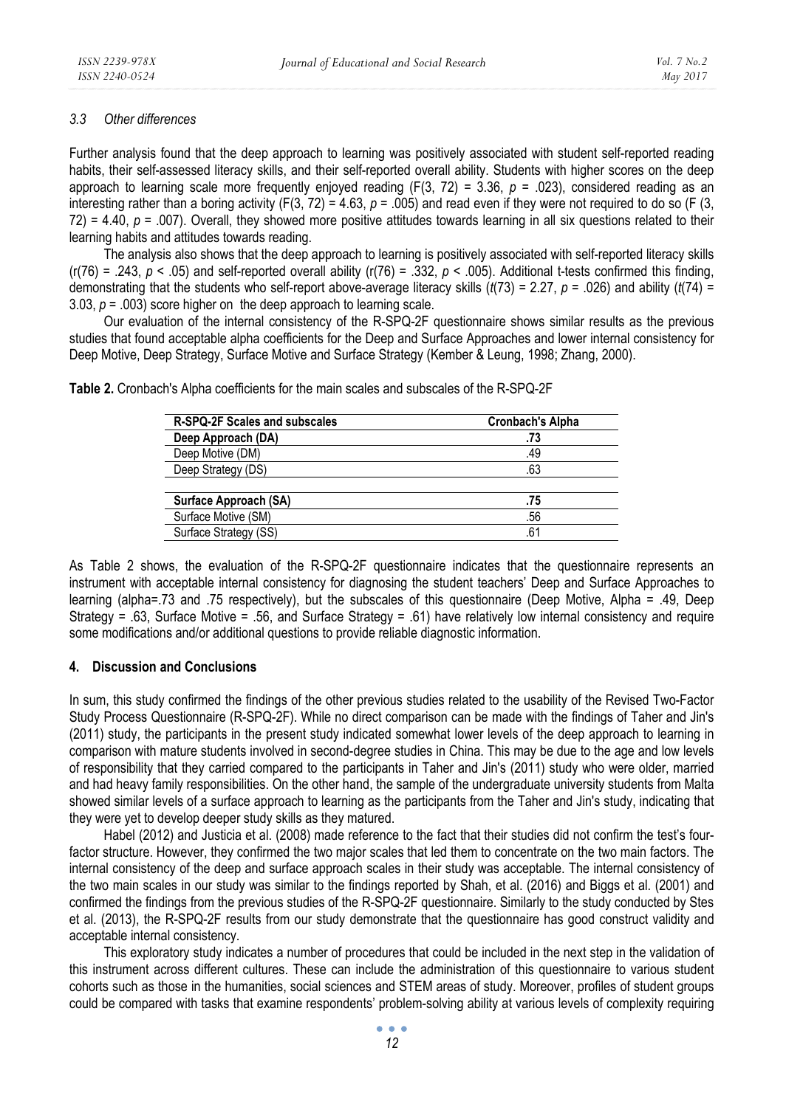### *3.3 Other differences*

Further analysis found that the deep approach to learning was positively associated with student self-reported reading habits, their self-assessed literacy skills, and their self-reported overall ability. Students with higher scores on the deep approach to learning scale more frequently enjoyed reading (F(3, 72) = 3.36, *p* = .023), considered reading as an interesting rather than a boring activity  $(F(3, 72) = 4.63, p = .005)$  and read even if they were not required to do so  $(F(3, 72))$ 72) = 4.40, *p* = .007). Overall, they showed more positive attitudes towards learning in all six questions related to their learning habits and attitudes towards reading.

The analysis also shows that the deep approach to learning is positively associated with self-reported literacy skills  $(r(76) = .243, p < .05)$  and self-reported overall ability  $(r(76) = .332, p < .005)$ . Additional t-tests confirmed this finding, demonstrating that the students who self-report above-average literacy skills (*t*(73) = 2.27, *p* = .026) and ability (*t*(74) = 3.03,  $p = 0.003$ ) score higher on the deep approach to learning scale.

Our evaluation of the internal consistency of the R-SPQ-2F questionnaire shows similar results as the previous studies that found acceptable alpha coefficients for the Deep and Surface Approaches and lower internal consistency for Deep Motive, Deep Strategy, Surface Motive and Surface Strategy (Kember & Leung, 1998; Zhang, 2000).

| R-SPQ-2F Scales and subscales | <b>Cronbach's Alpha</b> |
|-------------------------------|-------------------------|
| Deep Approach (DA)            | .73                     |
| Deep Motive (DM)              | .49                     |
| Deep Strategy (DS)            | .63                     |
|                               |                         |
| Surface Approach (SA)         | .75                     |
| Surface Motive (SM)           | .56                     |
| Surface Strategy (SS)         | .61                     |
|                               |                         |

**Table 2.** Cronbach's Alpha coefficients for the main scales and subscales of the R-SPQ-2F

As Table 2 shows, the evaluation of the R-SPQ-2F questionnaire indicates that the questionnaire represents an instrument with acceptable internal consistency for diagnosing the student teachers' Deep and Surface Approaches to learning (alpha=.73 and .75 respectively), but the subscales of this questionnaire (Deep Motive, Alpha = .49, Deep Strategy = .63, Surface Motive = .56, and Surface Strategy = .61) have relatively low internal consistency and require some modifications and/or additional questions to provide reliable diagnostic information.

# **4. Discussion and Conclusions**

In sum, this study confirmed the findings of the other previous studies related to the usability of the Revised Two-Factor Study Process Questionnaire (R-SPQ-2F). While no direct comparison can be made with the findings of Taher and Jin's (2011) study, the participants in the present study indicated somewhat lower levels of the deep approach to learning in comparison with mature students involved in second-degree studies in China. This may be due to the age and low levels of responsibility that they carried compared to the participants in Taher and Jin's (2011) study who were older, married and had heavy family responsibilities. On the other hand, the sample of the undergraduate university students from Malta showed similar levels of a surface approach to learning as the participants from the Taher and Jin's study, indicating that they were yet to develop deeper study skills as they matured.

Habel (2012) and Justicia et al. (2008) made reference to the fact that their studies did not confirm the test's fourfactor structure. However, they confirmed the two major scales that led them to concentrate on the two main factors. The internal consistency of the deep and surface approach scales in their study was acceptable. The internal consistency of the two main scales in our study was similar to the findings reported by Shah, et al. (2016) and Biggs et al. (2001) and confirmed the findings from the previous studies of the R-SPQ-2F questionnaire. Similarly to the study conducted by Stes et al. (2013), the R-SPQ-2F results from our study demonstrate that the questionnaire has good construct validity and acceptable internal consistency.

This exploratory study indicates a number of procedures that could be included in the next step in the validation of this instrument across different cultures. These can include the administration of this questionnaire to various student cohorts such as those in the humanities, social sciences and STEM areas of study. Moreover, profiles of student groups could be compared with tasks that examine respondents' problem-solving ability at various levels of complexity requiring